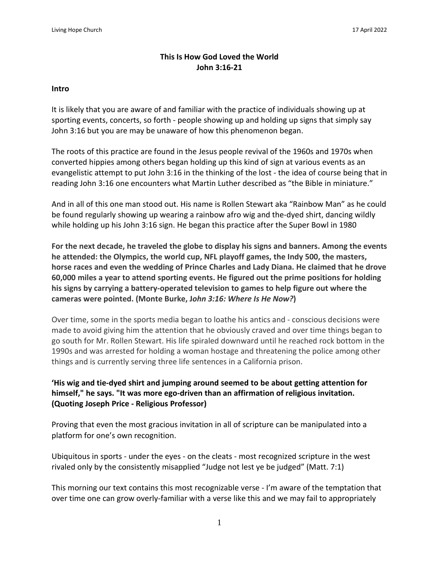## **This Is How God Loved the World John 3:16-21**

#### **Intro**

It is likely that you are aware of and familiar with the practice of individuals showing up at sporting events, concerts, so forth - people showing up and holding up signs that simply say John 3:16 but you are may be unaware of how this phenomenon began.

The roots of this practice are found in the Jesus people revival of the 1960s and 1970s when converted hippies among others began holding up this kind of sign at various events as an evangelistic attempt to put John 3:16 in the thinking of the lost - the idea of course being that in reading John 3:16 one encounters what Martin Luther described as "the Bible in miniature."

And in all of this one man stood out. His name is Rollen Stewart aka "Rainbow Man" as he could be found regularly showing up wearing a rainbow afro wig and the-dyed shirt, dancing wildly while holding up his John 3:16 sign. He began this practice after the Super Bowl in 1980

**For the next decade, he [traveled](http://joelmunte.files.wordpress.com/2009/01/john_316_031.jpg) the globe to display his signs and banners. Among the events he attended: the Olympics, the world cup, NFL playoff games, the Indy 500, the masters, horse races and even the wedding of Prince Charles and Lady Diana. He claimed that he drove 60,000 miles a year to attend sporting events. He figured out the prime positions for holding his signs by carrying a battery-operated television to games to help figure out where the cameras were pointed. (Monte Burke, J***ohn 3:16: Where Is He Now?***)**

Over time, some in the sports media began to loathe his antics and - conscious decisions were made to avoid giving him the attention that he obviously craved and over time things began to go south for Mr. Rollen Stewart. His life spiraled downward until he reached rock bottom in the 1990s and was arrested for holding a woman hostage and threatening the police among other things and is currently serving three life sentences in a California prison.

**'His wig and tie-dyed shirt and jumping around seemed to be about getting attention for himself," he says. "It was more ego-driven than an affirmation of religious invitation. (Quoting Joseph Price - Religious Professor)**

Proving that even the most gracious invitation in all of scripture can be manipulated into a platform for one's own recognition.

Ubiquitous in sports - under the eyes - on the cleats - most recognized scripture in the west rivaled only by the consistently misapplied "Judge not lest ye be judged" (Matt. 7:1)

This morning our text contains this most recognizable verse - I'm aware of the temptation that over time one can grow overly-familiar with a verse like this and we may fail to appropriately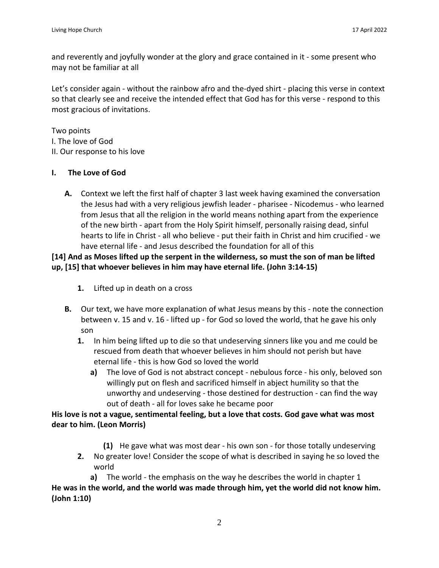and reverently and joyfully wonder at the glory and grace contained in it - some present who may not be familiar at all

Let's consider again - without the rainbow afro and the-dyed shirt - placing this verse in context so that clearly see and receive the intended effect that God has for this verse - respond to this most gracious of invitations.

Two points I. The love of God II. Our response to his love

#### **I. The Love of God**

**A.** Context we left the first half of chapter 3 last week having examined the conversation the Jesus had with a very religious jewfish leader - pharisee - Nicodemus - who learned from Jesus that all the religion in the world means nothing apart from the experience of the new birth - apart from the Holy Spirit himself, personally raising dead, sinful hearts to life in Christ - all who believe - put their faith in Christ and him crucified - we have eternal life - and Jesus described the foundation for all of this

# **[14] And as Moses lifted up the serpent in the wilderness, so must the son of man be lifted up, [15] that whoever believes in him may have eternal life. (John 3:14-15)**

- **1.** Lifted up in death on a cross
- **B.** Our text, we have more explanation of what Jesus means by this note the connection between v. 15 and v. 16 - lifted up - for God so loved the world, that he gave his only son
	- **1.** In him being lifted up to die so that undeserving sinners like you and me could be rescued from death that whoever believes in him should not perish but have eternal life - this is how God so loved the world
		- **a)** The love of God is not abstract concept nebulous force his only, beloved son willingly put on flesh and sacrificed himself in abject humility so that the unworthy and undeserving - those destined for destruction - can find the way out of death - all for loves sake he became poor

**His love is not a vague, sentimental feeling, but a love that costs. God gave what was most dear to him. (Leon Morris)**

- **(1)** He gave what was most dear his own son for those totally undeserving
- **2.** No greater love! Consider the scope of what is described in saying he so loved the world

**a)** The world - the emphasis on the way he describes the world in chapter 1 **He was in the world, and the world was made through him, yet the world did not know him. (John 1:10)**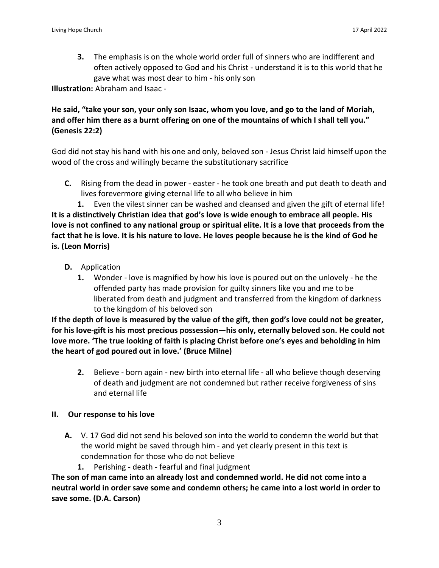**3.** The emphasis is on the whole world order full of sinners who are indifferent and often actively opposed to God and his Christ - understand it is to this world that he gave what was most dear to him - his only son

**Illustration:** Abraham and Isaac -

## He said, "take your son, your only son Isaac, whom you love, and go to the land of Moriah, and offer him there as a burnt offering on one of the mountains of which I shall tell you." **(Genesis 22:2)**

God did not stay his hand with his one and only, beloved son - Jesus Christ laid himself upon the wood of the cross and willingly became the substitutionary sacrifice

**C.** Rising from the dead in power - easter - he took one breath and put death to death and lives forevermore giving eternal life to all who believe in him

**1.** Even the vilest sinner can be washed and cleansed and given the gift of eternal life! **It is a distinctively Christian idea that god's love is wide enough to embrace all people. His** love is not confined to any national group or spiritual elite. It is a love that proceeds from the fact that he is love. It is his nature to love. He loves people because he is the kind of God he **is. (Leon Morris)**

- **D.** Application
	- **1.** Wonder love is magnified by how his love is poured out on the unlovely he the offended party has made provision for guilty sinners like you and me to be liberated from death and judgment and transferred from the kingdom of darkness to the kingdom of his beloved son

If the depth of love is measured by the value of the gift, then god's love could not be greater, **for his love-gift is his most precious possession—his only, eternally beloved son. He could not love more. 'The true looking of faith is placing Christ before one's eyes and beholding in him the heart of god poured out in love.' (Bruce Milne)**

**2.** Believe - born again - new birth into eternal life - all who believe though deserving of death and judgment are not condemned but rather receive forgiveness of sins and eternal life

#### **II. Our response to his love**

- **A.** V. 17 God did not send his beloved son into the world to condemn the world but that the world might be saved through him - and yet clearly present in this text is condemnation for those who do not believe
	- **1.** Perishing death fearful and final judgment

**The son of man came into an already lost and condemned world. He did not come into a neutral world in order save some and condemn others; he came into a lost world in order to save some. (D.A. Carson)**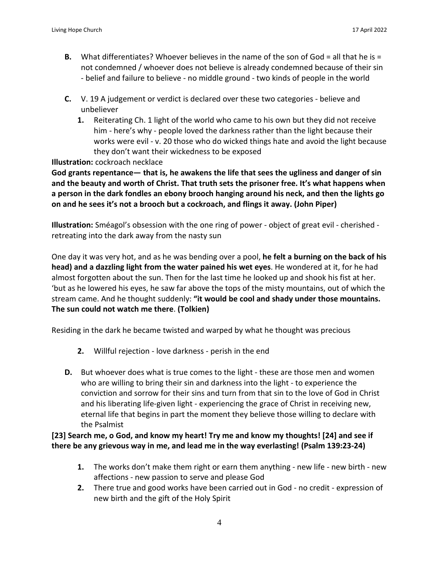- **B.** What differentiates? Whoever believes in the name of the son of God = all that he is = not condemned / whoever does not believe is already condemned because of their sin - belief and failure to believe - no middle ground - two kinds of people in the world
- **C.** V. 19 A judgement or verdict is declared over these two categories believe and unbeliever
	- **1.** Reiterating Ch. 1 light of the world who came to his own but they did not receive him - here's why - people loved the darkness rather than the light because their works were evil - v. 20 those who do wicked things hate and avoid the light because they don't want their wickedness to be exposed

**Illustration:** cockroach necklace

**God grants repentance— that is, he awakens the life that sees the ugliness and danger of sin** and the beauty and worth of Christ. That truth sets the prisoner free. It's what happens when **a person in the dark fondles an ebony brooch hanging around his neck, and then the lights go on and he sees it's not a brooch but a cockroach, and flings it away. (John Piper)**

**Illustration:** Sméagol's obsession with the one ring of power - object of great evil - cherished retreating into the dark away from the nasty sun

One day it was very hot, and as he was bending over a pool, **he felt a burning on the back of his head) and a dazzling light from the water pained his wet eyes**. He wondered at it, for he had almost forgotten about the sun. Then for the last time he looked up and shook his fist at her. 'but as he lowered his eyes, he saw far above the tops of the misty mountains, out of which the stream came. And he thought suddenly: **"it would be cool and shady under those mountains. The sun could not watch me there**. **(Tolkien)**

Residing in the dark he became twisted and warped by what he thought was precious

- **2.** Willful rejection love darkness perish in the end
- **D.** But whoever does what is true comes to the light these are those men and women who are willing to bring their sin and darkness into the light - to experience the conviction and sorrow for their sins and turn from that sin to the love of God in Christ and his liberating life-given light - experiencing the grace of Christ in receiving new, eternal life that begins in part the moment they believe those willing to declare with the Psalmist

**[23] Search me, o God, and know my heart! Try me and know my thoughts! [24] and see if there be any grievous way in me, and lead me in the way everlasting! (Psalm 139:23-24)**

- **1.** The works don't make them right or earn them anything new life new birth new affections - new passion to serve and please God
- **2.** There true and good works have been carried out in God no credit expression of new birth and the gift of the Holy Spirit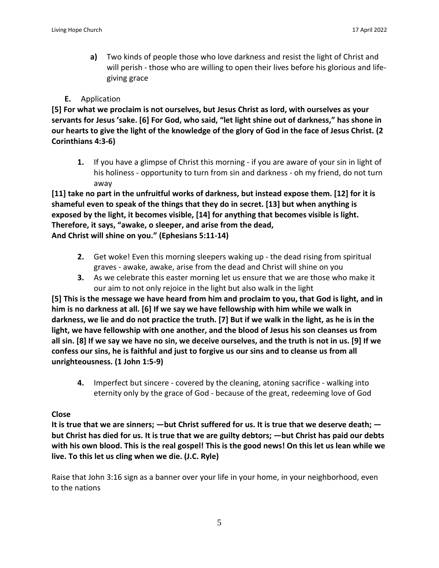**a)** Two kinds of people those who love darkness and resist the light of Christ and will perish - those who are willing to open their lives before his glorious and lifegiving grace

## **E.** Application

**[5] For what we proclaim is not ourselves, but Jesus Christ as lord, with ourselves as your** servants for Jesus 'sake. [6] For God, who said, "let light shine out of darkness," has shone in our hearts to give the light of the knowledge of the glory of God in the face of Jesus Christ. (2) **Corinthians 4:3-6)**

**1.** If you have a glimpse of Christ this morning - if you are aware of your sin in light of his holiness - opportunity to turn from sin and darkness - oh my friend, do not turn away

**[11] take no part in the unfruitful works of darkness, but instead expose them. [12] for it is shameful even to speak of the things that they do in secret. [13] but when anything is exposed by the light, it becomes visible, [14] for anything that becomes visible is light. Therefore, it says, "awake, o sleeper, and arise from the dead, And Christ will shine on you." (Ephesians 5:11-14)**

- **2.** Get woke! Even this morning sleepers waking up the dead rising from spiritual graves - awake, awake, arise from the dead and Christ will shine on you
- **3.** As we celebrate this easter morning let us ensure that we are those who make it our aim to not only rejoice in the light but also walk in the light

[5] This is the message we have heard from him and proclaim to you, that God is light, and in **him is no darkness at all. [6] If we say we have fellowship with him while we walk in** darkness, we lie and do not practice the truth. [7] But if we walk in the light, as he is in the **light, we have fellowship with one another, and the blood of Jesus his son cleanses us from** all sin. [8] If we say we have no sin, we deceive ourselves, and the truth is not in us. [9] If we **confess our sins, he is faithful and just to forgive us our sins and to cleanse us from all unrighteousness. (1 John 1:5-9)**

**4.** Imperfect but sincere - covered by the cleaning, atoning sacrifice - walking into eternity only by the grace of God - because of the great, redeeming love of God

## **Close**

It is true that we are sinners;  $-$  but Christ suffered for us. It is true that we deserve death;  $$ but Christ has died for us. It is true that we are guilty debtors; —but Christ has paid our debts with his own blood. This is the real gospel! This is the good news! On this let us lean while we **live. To this let us cling when we die. (J.C. Ryle)**

Raise that John 3:16 sign as a banner over your life in your home, in your neighborhood, even to the nations